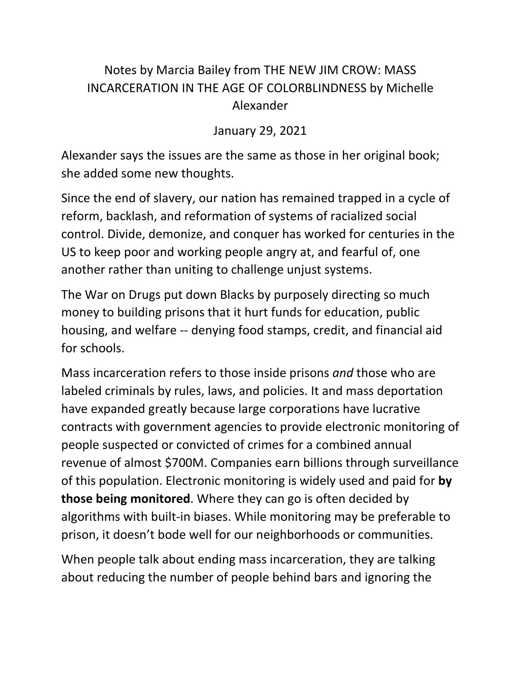## Notes by Marcia Bailey from THE NEW JIM CROW: MASS INCARCERATION IN THE AGE OF COLORBLINDNESS by Michelle Alexander

January 29, 2021

Alexander says the issues are the same as those in her original book; she added some new thoughts.

Since the end of slavery, our nation has remained trapped in a cycle of reform, backlash, and reformation of systems of racialized social control. Divide, demonize, and conquer has worked for centuries in the US to keep poor and working people angry at, and fearful of, one another rather than uniting to challenge unjust systems.

The War on Drugs put down Blacks by purposely directing so much money to building prisons that it hurt funds for education, public housing, and welfare -- denying food stamps, credit, and financial aid for schools.

Mass incarceration refers to those inside prisons *and* those who are labeled criminals by rules, laws, and policies. It and mass deportation have expanded greatly because large corporations have lucrative contracts with government agencies to provide electronic monitoring of people suspected or convicted of crimes for a combined annual revenue of almost \$700M. Companies earn billions through surveillance of this population. Electronic monitoring is widely used and paid for **by those being monitored**. Where they can go is often decided by algorithms with built-in biases. While monitoring may be preferable to prison, it doesn't bode well for our neighborhoods or communities.

When people talk about ending mass incarceration, they are talking about reducing the number of people behind bars and ignoring the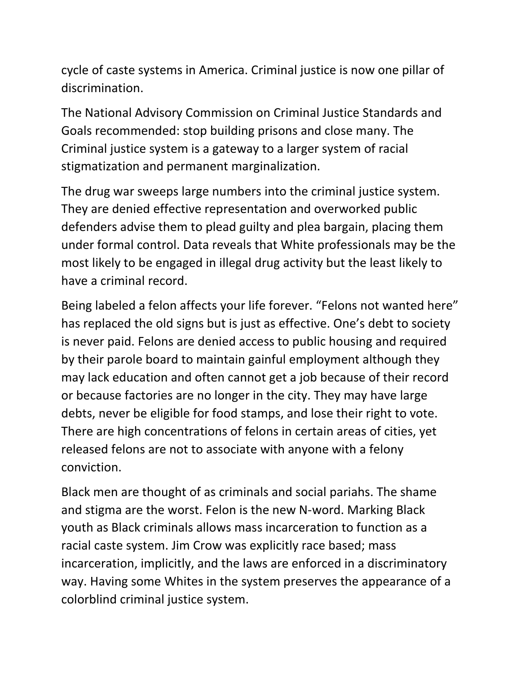cycle of caste systems in America. Criminal justice is now one pillar of discrimination.

The National Advisory Commission on Criminal Justice Standards and Goals recommended: stop building prisons and close many. The Criminal justice system is a gateway to a larger system of racial stigmatization and permanent marginalization.

The drug war sweeps large numbers into the criminal justice system. They are denied effective representation and overworked public defenders advise them to plead guilty and plea bargain, placing them under formal control. Data reveals that White professionals may be the most likely to be engaged in illegal drug activity but the least likely to have a criminal record.

Being labeled a felon affects your life forever. "Felons not wanted here" has replaced the old signs but is just as effective. One's debt to society is never paid. Felons are denied access to public housing and required by their parole board to maintain gainful employment although they may lack education and often cannot get a job because of their record or because factories are no longer in the city. They may have large debts, never be eligible for food stamps, and lose their right to vote. There are high concentrations of felons in certain areas of cities, yet released felons are not to associate with anyone with a felony conviction.

Black men are thought of as criminals and social pariahs. The shame and stigma are the worst. Felon is the new N-word. Marking Black youth as Black criminals allows mass incarceration to function as a racial caste system. Jim Crow was explicitly race based; mass incarceration, implicitly, and the laws are enforced in a discriminatory way. Having some Whites in the system preserves the appearance of a colorblind criminal justice system.